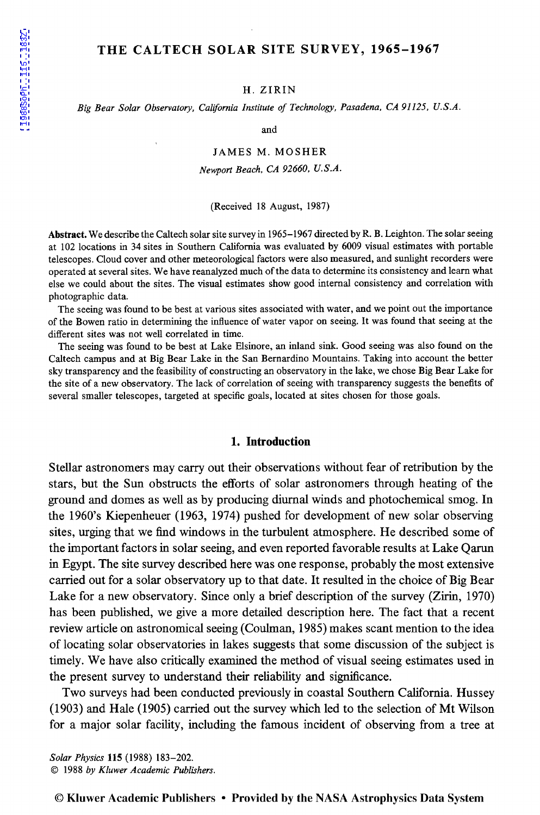#### THE CALTECH SOLAR SITE SURVEY, 1965-1967

H. ZIRIN

*Big Bear Solar Observatory, California Institute of Technology, Pasadena, CA 91125, U.S.A.* 

and

JAMES M. MOSHER *Newport Beach, CA 92660, U.S.A.* 

(Received 18 August, 1987)

Abstract. We describe the Caltech solar site survey in 1965-1967 directed by R. B. Leighton. The solar seeing at 102 locations in 34 sites in Southern California was evaluated by 6009 visual estimates with portable telescopes. Qoud cover and other meteorological factors were also measured, and sunlight recorders were operated at several sites. We have reanalyzed much of the data to determine its consistency and learn what else we could about the sites. The visual estimates show good internal consistency and correlation with photographic data.

The seeing was found to be best at various sites associated with water, and we point out the importance of the Bowen ratio in determining the influence of water vapor on seeing. It was found that seeing at the different sites was not well correlated in time.

The seeing was found to be best at Lake Elsinore, an inland sink. Good seeing was also found on the Caltech campus and at Big Bear Lake in the San Bernardino Mountains. Taking into account the better sky transparency and the feasibility of constructing an observatory in the lake, we chose Big Bear Lake for the site of a new observatory. The lack of correlation of seeing with transparency suggests the benefits of several smaller telescopes, targeted at specific goals, located at sites chosen for those goals.

### 1. Introduction

Stellar astronomers may carry out their observations without fear of retribution by the stars, but the Sun obstructs the efforts of solar astronomers through heating of the ground and domes as well as by producing diurnal winds and photochemical smog. In the 1960's Kiepenheuer (1963, 1974) pushed for development of new solar observing sites, urging that we find windows in the turbulent atmosphere. He described some of the important factors in solar seeing, and even reported favorable results at Lake Qarun in Egypt. The site survey described here was one response, probably the most extensive carried out for a solar observatory up to that date. It resulted in the choice of Big Bear Lake for a new observatory. Since only a brief description of the survey (Zirin, 1970) has been published, we give a more detailed description here. The fact that a recent review article on astronomical seeing (Coulman, 1985) makes scant mention to the idea of locating solar observatories in lakes suggests that some discussion of the subject is timely. We have also critically examined the method of visual seeing estimates used in the present survey to understand their reliability and significance.

Two surveys had been conducted previously in coastal Southern California. Hussey (1903) and Hale (1905) carried out the survey which led to the selection of Mt Wilson for a major solar facility, including the famous incident of observing from a tree at

*Solar Physics* 115 (1988) 183-202. © 1988 *by Kluwer Academic Publishers.*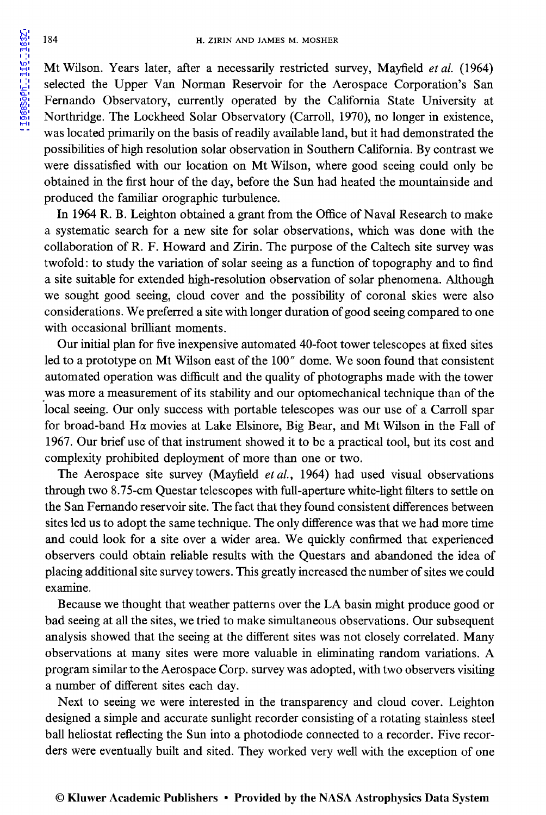Mt Wilson. Years later, after a necessarily restricted survey, Mayfield *et al.* (1964) selected the Upper Van Norman Reservoir for the Aerospace Corporation's San Fernando Observatory, currently operated by the California State University at Northridge. The Lockheed Solar Observatory (Carroll, 1970), no longer in existence, was located primarily on the basis of readily available land, but it had demonstrated the possibilities of high resolution solar observation in Southern California. By contrast we were dissatisfied with our location on Mt Wilson, where good seeing could only be obtained in the first hour of the day, before the Sun had heated the mountainside and produced the familiar orographic turbulence.

In 1964 R. B. Leighton obtained a grant from the Office of Naval Research to make a systematic search for a new site for solar observations, which was done with the collaboration of R. F. Howard and Zirin. The purpose of the Caltech site survey was twofold: to study the variation of solar seeing as a function of topography and to find a site suitable for extended high-resolution observation of solar phenomena. Although we sought good seeing, cloud cover and the possibility of coronal skies were also considerations. We preferred a site with longer duration of good seeing compared to one with occasional brilliant moments.

Our initial plan for five inexpensive automated 40-foot tower telescopes at fixed sites led to a prototype on Mt Wilson east of the 100" dome. We soon found that consistent automated operation was difficult and the quality of photographs made with the tower was more a measurement of its stability and our optomechanical technique than of the local seeing. Our only success with portable telescopes was our use of a Carroll spar for broad-band Ha movies at Lake Elsinore, Big Bear, and Mt Wilson in the Fall of 1967. Our brief use of that instrument showed it to be a practical tool, but its cost and complexity prohibited deployment of more than one or two.

The Aerospace site survey (Mayfield *et al.,* 1964) had used visual observations through two 8.75-cm Questar telescopes with full-aperture white-light filters to settle on the San Fernando reservoir site. The fact that they found consistent differences between sites led us to adopt the same technique. The only difference was that we had more time and could look for a site over a wider area. We quickly confirmed that experienced observers could obtain reliable results with the Questars and abandoned the idea of placing additional site survey towers. This greatly increased the number of sites we could examine.

Because we thought that weather patterns over the LA basin might produce good or bad seeing at all the sites, we tried to make simultaneous observations. Our subsequent analysis showed that the seeing at the different sites was not closely correlated. Many observations at many sites were more valuable in eliminating random variations. A program similar to the Aerospace Corp. survey was adopted, with two observers visiting a number of different sites each day.

Next to seeing we were interested in the transparency and cloud cover. Leighton designed a simple and accurate sunlight recorder consisting of a rotating stainless steel ball heliostat reflecting the Sun into a photodiode connected to a recorder. Five recorders were eventually built and sited. They worked very well with the exception of one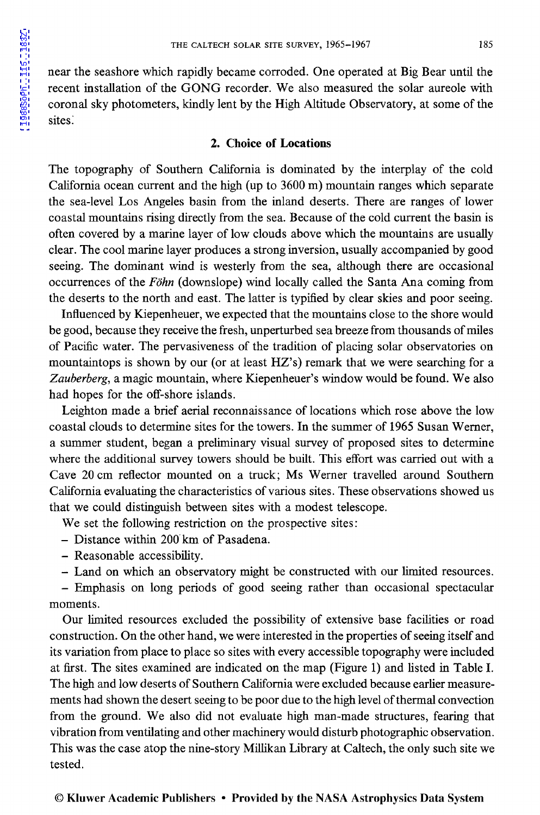1988SoPh..115..183Z [1988SoPh..115..183Z](http://adsabs.harvard.edu/abs/1988SoPh..115..183Z)

near the seashore which rapidly became corroded. One operated at Big Bear until the recent installation of the GONG recorder. We also measured the solar aureole with coronal sky photometers, kindly lent by the High Altitude Observatory, at some of the sites.

# 2. Choice of Locations

The topography of Southern California is dominated by the interplay of the cold California ocean current and the high (up to 3600 m) mountain ranges which separate the sea-level Los Angeles basin from the inland deserts. There are ranges of lower coastal mountains rising directly from the sea. Because of the cold current the basin is often covered by a marine layer of low clouds above which the mountains are usually clear. The cool marine layer produces a strong inversion, usually accompanied by good seeing. The dominant wind is westerly from the sea, although there are occasional occurrences of the *Fohn* (downslope) wind locally called the Santa Ana coming from the deserts to the north and east. The latter is typified by clear skies and poor seeing.

Influenced by Kiepenheuer, we expected that the mountains close to the shore would be good, because they receive the fresh, unperturbed sea breeze from thousands of miles of Pacific water. The pervasiveness of the tradition of placing solar observatories on mountaintops is shown by our (or at least HZ's) remark that we were searching for a *Zauberberg,* a magic mountain, where Kiepenheuer's window would be found. We also had hopes for the off-shore islands.

Leighton made a brief aerial reconnaissance of locations which rose above the low coastal clouds to determine sites for the towers. In the summer of 1965 Susan Werner, a summer student, began a preliminary visual survey of proposed sites to determine where the additional survey towers should be built. This effort was carried out with a Cave 20 cm reflector mounted on a truck; Ms Werner travelled around Southern California evaluating the characteristics of various sites. These observations showed us that we could distinguish between sites with a modest telescope.

We set the following restriction on the prospective sites:

- Distance within 200 km of Pasadena.
- Reasonable accessibility.
- Land on which an observatory might be constructed with our limited resources.

- Emphasis on long periods of good seeing rather than occasional spectacular moments.

Our limited resources excluded the possibility of extensive base facilities or road construction. On the other hand, we were interested in the properties of seeing itself and its variation from place to place so sites with every accessible topography were included at first. The sites examined are indicated on the map (Figure 1) and listed in Table I. The high and low deserts of Southern California were excluded because earlier measurements had shown the desert seeing to be poor due to the high level of thermal convection from the ground. We also did not evaluate high man-made structures, fearing that vibration from ventilating and other machinery would disturb photographic observation. This was the case atop the nine-story Millikan Library at Caltech, the only such site we tested.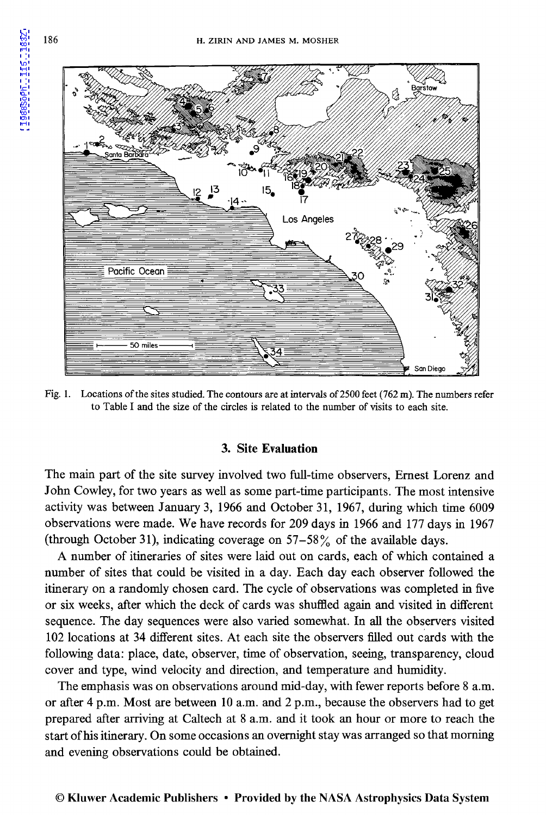

Fig. 1. Locations of the sites studied. The contours are at intervals of 2500 feet (762 m). The numbers refer to Table I and the size of the circles is related to the number of visits to each site.

### 3. Site Evaluation

The main part of the site survey involved two full-time observers, Ernest Lorenz and John Cowley, for two years as well as some part-time participants. The most intensive activity was between January 3, 1966 and October 31, 1967, during which time 6009 observations were made. We have records for 209 days in 1966 and 177 days in 1967 (through October 31), indicating coverage on 57-58% of the available days.

A number of itineraries of sites were laid out on cards, each of which contained a number of sites that could be visited in a day. Each day each observer followed the itinerary on a randomly chosen card. The cycle of observations was completed in five or six weeks, after which the deck of cards was shuffied again and visited in different sequence. The day sequences were also varied somewhat. In all the observers visited 102 locations at 34 different sites. At each site the observers filled out cards with the following data: place, date, observer, time of observation, seeing, transparency, cloud cover and type, wind velocity and direction, and temperature and humidity.

The emphasis was on observations around mid-day, with fewer reports before 8 a.m. or after 4 p.m. Most are between 10 a.m. and 2 p.m., because the observers had to get prepared after arriving at Caltech at 8 a.m. and it took an hour or more to reach the start of his itinerary. On some occasions an overnight stay was arranged so that morning and evening observations could be obtained.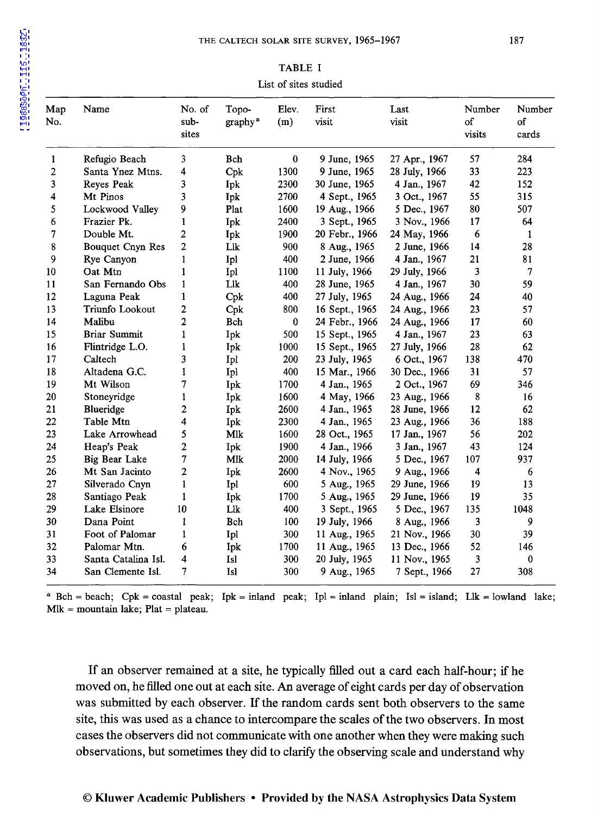| TABLE I |  |  |
|---------|--|--|
|         |  |  |

List of sites studied

| Map<br>No.     | Name                | No. of<br>sub-<br>sites | Topo-<br>graphy <sup>a</sup> | Elev.<br>(m) | First<br>visit | Last<br>visit | Number<br>of<br>visits | Number<br>of<br>cards |
|----------------|---------------------|-------------------------|------------------------------|--------------|----------------|---------------|------------------------|-----------------------|
| 1              | Refugio Beach       | 3                       | <b>B</b> ch                  | $\bf{0}$     | 9 June, 1965   | 27 Apr., 1967 | 57                     | 284                   |
| $\overline{2}$ | Santa Ynez Mtns.    | 4                       | Cpk                          | 1300         | 9 June, 1965   | 28 July, 1966 | 33                     | 223                   |
| 3              | Reyes Peak          | 3                       | Ipk                          | 2300         | 30 June, 1965  | 4 Jan., 1967  | 42                     | 152                   |
| 4              | Mt Pinos            | 3                       | Ipk                          | 2700         | 4 Sept., 1965  | 3 Oct., 1967  | 55                     | 315                   |
| 5              | Lockwood Valley     | 9                       | Plat                         | 1600         | 19 Aug., 1966  | 5 Dec., 1967  | 80                     | 507                   |
| 6              | Frazier Pk.         | $\mathbf{1}$            | Ipk                          | 2400         | 3 Sept., 1965  | 3 Nov., 1966  | 17                     | 64                    |
| $\overline{7}$ | Double Mt.          | $\overline{\mathbf{c}}$ | Ipk                          | 1900         | 20 Febr., 1966 | 24 May, 1966  | 6                      | 1                     |
| $\bf 8$        | Bouquet Cnyn Res    | $\overline{\mathbf{c}}$ | Llk                          | 900          | 8 Aug., 1965   | 2 June, 1966  | 14                     | 28                    |
| 9              | Rye Canyon          | $\mathbf{1}$            | Ipl                          | 400          | 2 June, 1966   | 4 Jan., 1967  | 21                     | 81                    |
| 10             | Oat Mtn             | $\mathbf{1}$            | Ipl                          | 1100         | 11 July, 1966  | 29 July, 1966 | 3                      | $\overline{7}$        |
| 11             | San Fernando Obs    | $\mathbf{1}$            | Llk                          | 400          | 28 June, 1965  | 4 Jan., 1967  | 30                     | 59                    |
| 12             | Laguna Peak         | 1                       | Cpk                          | 400          | 27 July, 1965  | 24 Aug., 1966 | 24                     | 40                    |
| 13             | Triunfo Lookout     | 2                       | Cpk                          | 800          | 16 Sept., 1965 | 24 Aug., 1966 | 23                     | 57                    |
| 14             | Malibu              | $\overline{\mathbf{2}}$ | <b>B</b> ch                  | $\pmb{0}$    | 24 Febr., 1966 | 24 Aug., 1966 | 17                     | 60                    |
| 15             | <b>Briar Summit</b> | $\mathbf 1$             | Ipk                          | 500          | 15 Sept., 1965 | 4 Jan., 1967  | 23                     | 63                    |
| 16             | Flintridge L.O.     | $\mathbf{1}$            | Ipk                          | 1000         | 15 Sept., 1965 | 27 July, 1966 | 28                     | 62                    |
| 17             | Caltech             | 3                       | Ipl                          | 200          | 23 July, 1965  | 6 Oct., 1967  | 138                    | 470                   |
| 18             | Altadena G.C.       | 1                       | Ipl                          | 400          | 15 Mar., 1966  | 30 Dec., 1966 | 31                     | 57                    |
| 19             | Mt Wilson           | 7                       | Ipk                          | 1700         | 4 Jan., 1965   | 2 Oct., 1967  | 69                     | 346                   |
| 20             | Stoneyridge         | $\mathbf{1}$            | Ipk                          | 1600         | 4 May, 1966    | 23 Aug., 1966 | 8                      | 16                    |
| 21             | Blueridge           | $\overline{\mathbf{c}}$ | Ipk                          | 2600         | 4 Jan., 1965   | 28 June, 1966 | 12                     | 62                    |
| 22             | Table Mtn           | 4                       | Ipk                          | 2300         | 4 Jan., 1965   | 23 Aug., 1966 | 36                     | 188                   |
| 23             | Lake Arrowhead      | 5                       | Mlk                          | 1600         | 28 Oct., 1965  | 17 Jan., 1967 | 56                     | 202                   |
| 24             | Heap's Peak         | $\overline{\mathbf{c}}$ | Ipk                          | 1900         | 4 Jan., 1966   | 3 Jan., 1967  | 43                     | 124                   |
| 25             | Big Bear Lake       | $\boldsymbol{7}$        | <b>Mlk</b>                   | 2000         | 14 July, 1966  | 5 Dec., 1967  | 107                    | 937                   |
| 26             | Mt San Jacinto      | 2                       | Ipk                          | 2600         | 4 Nov., 1965   | 9 Aug., 1966  | 4                      | 6                     |
| 27             | Silverado Cnyn      | $\mathbf{1}$            | Ipl                          | 600          | 5 Aug., 1965   | 29 June, 1966 | 19                     | 13                    |
| 28             | Santiago Peak       | 1                       | Ipk                          | 1700         | 5 Aug., 1965   | 29 June, 1966 | 19                     | 35                    |
| 29             | Lake Elsinore       | 10                      | Llk                          | 400          | 3 Sept., 1965  | 5 Dec., 1967  | 135                    | 1048                  |
| 30             | Dana Point          | $\mathbf{1}$            | <b>B</b> ch                  | 100          | 19 July, 1966  | 8 Aug., 1966  | 3                      | 9                     |
| 31             | Foot of Palomar     | 1                       | Ipl                          | 300          | 11 Aug., 1965  | 21 Nov., 1966 | 30                     | 39                    |
| 32             | Palomar Mtn.        | 6                       | Ipk                          | 1700         | 11 Aug., 1965  | 13 Dec., 1966 | 52                     | 146                   |
| 33             | Santa Catalina Isl. | 4                       | <b>Isl</b>                   | 300          | 20 July, 1965  | 11 Nov., 1965 | 3                      | $\bf{0}$              |
| 34             | San Clemente Isl.   | 7                       | Isl                          | 300          | 9 Aug., 1965   | 7 Sept., 1966 | 27                     | 308                   |

<sup>a</sup> Bch = beach; Cpk = coastal peak; Ipk = inland peak; Ipl = inland plain; Isl = island; Llk = lowland lake;  $Mlk =$  mountain lake; Plat = plateau.

If an observer remained at a site, he typically filled out a card each half-hour; if he moved on, he filled one out at each site. An average of eight cards per day of observation was submitted by each observer. If the random cards sent both observers to the same site, this was used as a chance to intercompare the scales of the two observers. In most cases the observers did not communicate with one another when they were making such observations, but sometimes they did to clarify the observing scale and understand why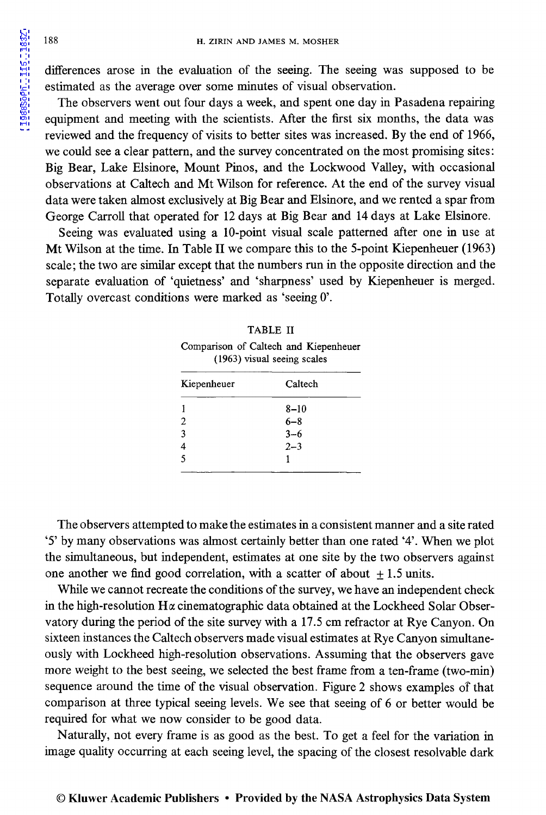differences arose in the evaluation of the seeing. The seeing was supposed to be estimated as the average over some minutes of visual observation.

The observers went out four days a week, and spent one day in Pasadena repairing equipment and meeting with the scientists. After the first six months, the data was reviewed and the frequency of visits to better sites was increased. By the end of 1966, we could see a clear pattern, and the survey concentrated on the most promising sites: Big Bear, Lake Elsinore, Mount Pinos, and the Lockwood Valley, with occasional observations at Caltech and Mt Wilson for reference. At the end of the survey visual data were taken almost exclusively at Big Bear and Elsinore, and we rented a spar from George Carroll that operated for 12 days at Big Bear and 14 days at Lake Elsinore.

Seeing was evaluated using a 10-point visual scale patterned after one in use at Mt Wilson at the time. In Table II we compare this to the 5-point Kiepenheuer (1963) scale; the two are similar except that the numbers run in the opposite direction and the separate evaluation of 'quietness' and 'sharpness' used by Kiepenheuer is merged. Totally overcast conditions were marked as 'seeing O'.

TABLE II

|             | Comparison of Caltech and Kiepenheuer<br>(1963) visual seeing scales |
|-------------|----------------------------------------------------------------------|
| Kiepenheuer | Caltech                                                              |
|             | $8 - 10$                                                             |
| 2           | $6 - 8$                                                              |
| 3           | $3 - 6$                                                              |
|             | $2 - 3$                                                              |
| ς           |                                                                      |

The observers attempted to make the estimates in a consistent manner and a site rated '5' by many observations was almost certainly better than one rated '4'. When we plot the simultaneous, but independent, estimates at one site by the two observers against one another we find good correlation, with a scatter of about  $+1.5$  units.

While we cannot recreate the conditions of the survey, we have an independent check in the high-resolution  $H\alpha$  cinematographic data obtained at the Lockheed Solar Observatory during the period of the site survey with a 17.5 cm refractor at Rye Canyon. On sixteen instances the Caltech observers made visual estimates at Rye Canyon simultaneously with Lockheed high-resolution observations. Assuming that the observers gave more weight to the best seeing, we selected the best frame from a ten-frame (two-min) sequence around the time of the visual observation. Figure 2 shows examples of that comparison at three typical seeing levels. We see that seeing of 6 or better would be required for what we now consider to be good data.

Naturally, not every frame is as good as the best. To get a feel for the variation in image quality occurring at each seeing level, the spacing of the closest resolvable dark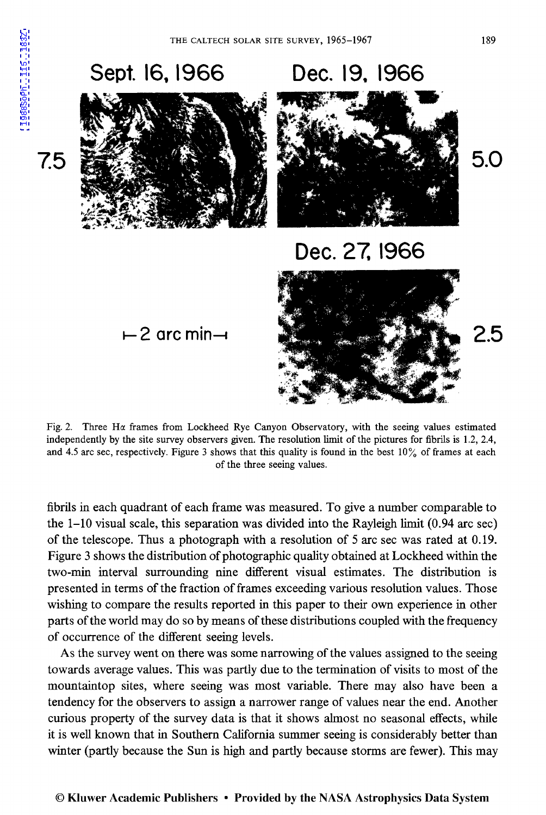

Fig. 2. Three H $\alpha$  frames from Lockheed Rye Canyon Observatory, with the seeing values estimated independently by the site survey observers given. The resolution limit of the pictures for fibrils is 1.2, 2.4, and 4.5 arc sec, respectively. Figure 3 shows that this quality is found in the best  $10\%$  of frames at each of the three seeing values.

fibrils in each quadrant of each frame was measured. To give a number comparable to the 1-10 visual scale, this separation was divided into the Rayleigh limit {0.94 arc sec) of the telescope. Thus a photograph with a resolution of 5 arc sec was rated at 0.19. Figure 3 shows the distribution of photographic quality obtained at Lockheed within the two-min interval surrounding nine different visual estimates. The distribution is presented in terms of the fraction of frames exceeding various resolution values. Those wishing to compare the results reported in this paper to their own experience in other parts of the world may do so by means of these distributions coupled with the frequency of occurrence of the different seeing levels.

As the survey went on there was some narrowing of the values assigned to the seeing towards average values. This was partly due to the termination of visits to most of the mountaintop sites, where seeing was most variable. There may also have been a tendency for the observers to assign a narrower range of values near the end. Another curious property of the survey data is that it shows almost no seasonal effects, while it is well known that in Southern California summer seeing is considerably better than winter (partly because the Sun is high and partly because storms are fewer). This may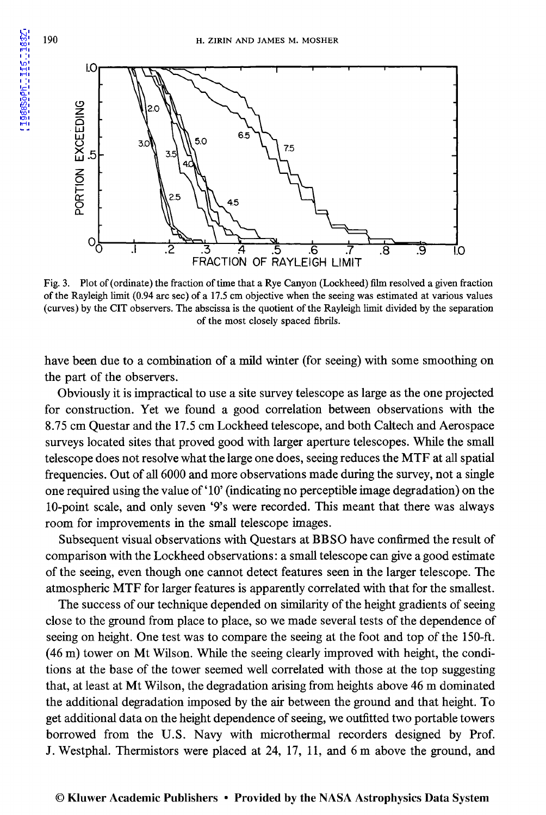

Fig. 3. Plot of (ordinate) the fraction of time that a Rye Canyon (Lockheed) film resolved a given fraction of the Rayleigh limit (0.94 arc sec) of a 17.5 cm objective when the seeing was estimated at various values (curves) by the CIT observers. The abscissa is the quotient of the Rayleigh limit divided by the separation of the most closely spaced fibrils.

have been due to a combination of a mild winter (for seeing) with some smoothing on the part of the observers.

Obviously it is impractical to use a site survey telescope as large as the one projected for construction. Yet we found a good correlation between observations with the 8.75 cm Questar and the 17.5 cm Lockheed telescope, and both Caltech and Aerospace surveys located sites that proved good with larger aperture telescopes. While the small telescope does not resolve what the large one does, seeing reduces the MTF at all spatial frequencies. Out of all 6000 and more observations made during the survey, not a single one required using the value of'lO' (indicating no perceptible image degradation) on the 10-point scale, and only seven '9's were recorded. This meant that there was always room for improvements in the small telescope images.

Subsequent visual observations with Questars at BBSO have confirmed the result of comparison with the Lockheed observations: a small telescope can give a good estimate of the seeing, even though one cannot detect features seen in the larger telescope. The atmospheric MTF for larger features is apparently correlated with that for the smallest.

The success of our technique depended on similarity of the height gradients of seeing close to the ground from place to place, so we made several tests of the dependence of seeing on height. One test was to compare the seeing at the foot and top of the 150-ft. (46 m) tower on Mt Wilson. While the seeing clearly improved with height, the conditions at the base of the tower seemed well correlated with those at the top suggesting that, at least at Mt Wilson, the degradation arising from heights above 46 m dominated the additional degradation imposed by the air between the ground and that height. To get additional data on the height dependence of seeing, we outfitted two portable towers borrowed from the U.S. Navy with microthermal recorders designed by Prof. J. Westphal. Thermistors were placed at 24, 17, 11, and 6 m above the ground, and

[1988SoPh..115..183Z](http://adsabs.harvard.edu/abs/1988SoPh..115..183Z)

1988SoPh..115..183Z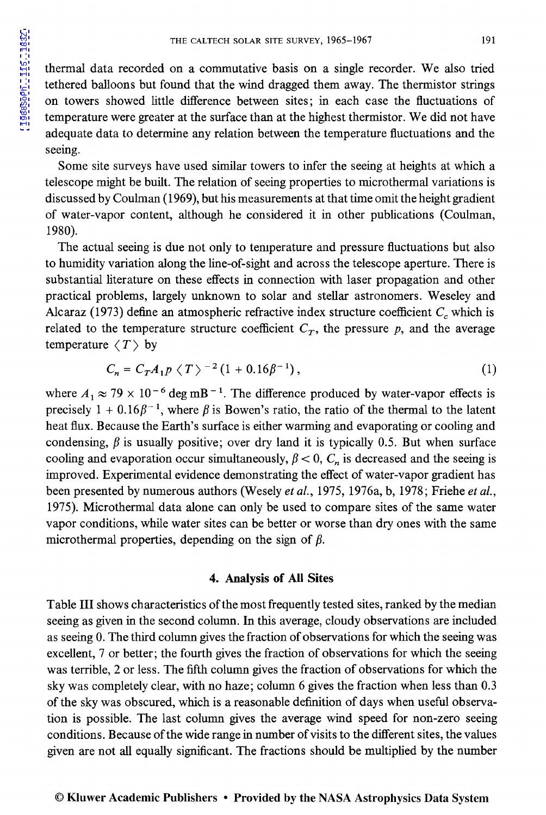thermal data recorded on a commutative basis on a single recorder. We also tried tethered balloons but found that the wind dragged them away. The thermistor strings on towers showed little difference between sites; in each case the fluctuations of temperature were greater at the surface than at the highest thermistor. We did not have adequate data to determine any relation between the temperature fluctuations and the seemg.

Some site surveys have used similar towers to infer the seeing at heights at which a telescope might be built. The relation of seeing properties to microthermal variations is discussed by Coulman (1969), but his measurements at that time omit the height gradient of water-vapor content, although he considered it in other publications (Coulman, 1980).

The actual seeing is due not only to temperature and pressure fluctuations but also to humidity variation along the line-of-sight and across the telescope aperture. There is substantial literature on these effects in connection with laser propagation and other practical problems, largely unknown to solar and stellar astronomers. Weseley and Alcaraz (1973) define an atmospheric refractive index structure coefficient  $C_c$  which is related to the temperature structure coefficient  $C_T$ , the pressure p, and the average temperature  $\langle T \rangle$  by

$$
C_n = C_T A_1 p \langle T \rangle^{-2} (1 + 0.16 \beta^{-1}), \qquad (1)
$$

where  $A_1 \approx 79 \times 10^{-6}$  deg mB<sup>-1</sup>. The difference produced by water-vapor effects is precisely  $1 + 0.16\beta^{-1}$ , where  $\beta$  is Bowen's ratio, the ratio of the thermal to the latent heat flux. Because the Earth's surface is either warming and evaporating or cooling and condensing,  $\beta$  is usually positive; over dry land it is typically 0.5. But when surface cooling and evaporation occur simultaneously,  $\beta < 0$ ,  $C_n$  is decreased and the seeing is improved. Experimental evidence demonstrating the effect of water-vapor gradient has been presented by numerous authors (Wesely *et al.,* 1975, 1976a, b, 1978; Friehe *et al.,*  1975). Microthermal data alone can only be used to compare sites of the same water vapor conditions, while water sites can be better or worse than dry ones with the same microthermal properties, depending on the sign of  $\beta$ .

### 4. Analysis of All Sites

Table III shows characteristics of the most frequently tested sites, ranked by the median seeing as given in the second column. In this average, cloudy observations are included as seeing 0. The third column gives the fraction of observations for which the seeing was excellent, 7 or better; the fourth gives the fraction of observations for which the seeing was terrible, 2 or less. The fifth column gives the fraction of observations for which the sky was completely clear, with no haze; column 6 gives the fraction when less than 0.3 of the sky was obscured, which is a reasonable definition of days when useful observation is possible. The last column gives the average wind speed for non-zero seeing conditions. Because of the wide range in number of visits to the different sites, the values given are not all equally significant. The fractions should be multiplied by the number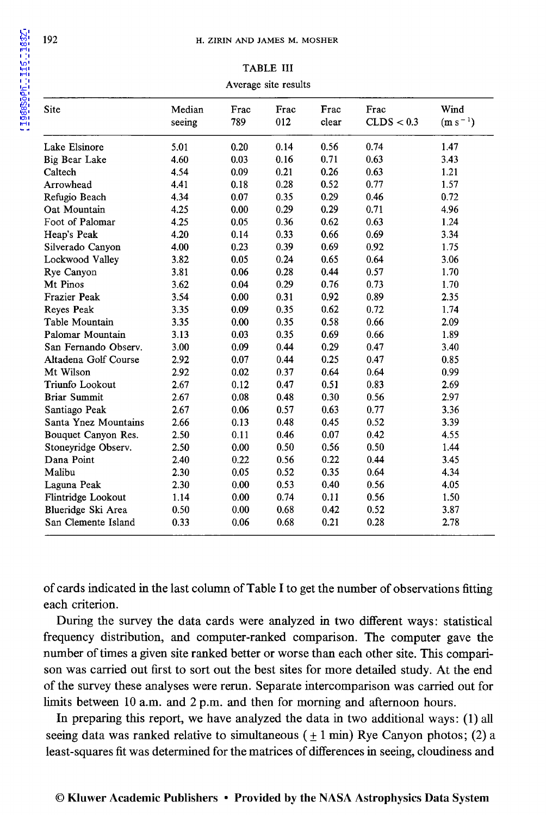[1988SoPh..115..183Z](http://adsabs.harvard.edu/abs/1988SoPh..115..183Z)

1988SoPh..115..183Z

| . .<br>۰.<br> |  |
|---------------|--|
|---------------|--|

Average site results

| Site                 | Median | Frac | Frac | Frac  | Frac       | Wind         |
|----------------------|--------|------|------|-------|------------|--------------|
|                      | seeing | 789  | 012  | clear | CLDS < 0.3 | $(m s^{-1})$ |
| Lake Elsinore        | 5.01   | 0.20 | 0.14 | 0.56  | 0.74       | 1.47         |
| Big Bear Lake        | 4.60   | 0.03 | 0.16 | 0.71  | 0.63       | 3.43         |
| Caltech              | 4.54   | 0.09 | 0.21 | 0.26  | 0.63       | 1.21         |
| Arrowhead            | 4.41   | 0.18 | 0.28 | 0.52  | 0.77       | 1.57         |
| Refugio Beach        | 4.34   | 0.07 | 0.35 | 0.29  | 0.46       | 0.72         |
| Oat Mountain         | 4.25   | 0.00 | 0.29 | 0.29  | 0.71       | 4.96         |
| Foot of Palomar      | 4.25   | 0.05 | 0.36 | 0.62  | 0.63       | 1.24         |
| Heap's Peak          | 4.20   | 0.14 | 0.33 | 0.66  | 0.69       | 3.34         |
| Silverado Canyon     | 4.00   | 0.23 | 0.39 | 0.69  | 0.92       | 1.75         |
| Lockwood Valley      | 3.82   | 0.05 | 0.24 | 0.65  | 0.64       | 3.06         |
| Rye Canyon           | 3.81   | 0.06 | 0.28 | 0.44  | 0.57       | 1.70         |
| Mt Pinos             | 3.62   | 0.04 | 0.29 | 0.76  | 0.73       | 1.70         |
| <b>Frazier Peak</b>  | 3.54   | 0.00 | 0.31 | 0.92  | 0.89       | 2.35         |
| Reyes Peak           | 3.35   | 0.09 | 0.35 | 0.62  | 0.72       | 1.74         |
| Table Mountain       | 3.35   | 0.00 | 0.35 | 0.58  | 0.66       | 2.09         |
| Palomar Mountain     | 3.13   | 0.03 | 0.35 | 0.69  | 0.66       | 1.89         |
| San Fernando Observ. | 3.00   | 0.09 | 0.44 | 0.29  | 0.47       | 3.40         |
| Altadena Golf Course | 2.92   | 0.07 | 0.44 | 0.25  | 0.47       | 0.85         |
| Mt Wilson            | 2.92   | 0.02 | 0.37 | 0.64  | 0.64       | 0.99         |
| Triunfo Lookout      | 2.67   | 0.12 | 0.47 | 0.51  | 0.83       | 2.69         |
| <b>Briar Summit</b>  | 2.67   | 0.08 | 0.48 | 0.30  | 0.56       | 2.97         |
| Santiago Peak        | 2.67   | 0.06 | 0.57 | 0.63  | 0.77       | 3.36         |
| Santa Ynez Mountains | 2.66   | 0.13 | 0.48 | 0.45  | 0.52       | 3.39         |
| Bouquet Canyon Res.  | 2.50   | 0.11 | 0.46 | 0.07  | 0.42       | 4.55         |
| Stoneyridge Observ.  | 2.50   | 0.00 | 0.50 | 0.56  | 0.50       | 1.44         |
| Dana Point           | 2.40   | 0.22 | 0.56 | 0.22  | 0.44       | 3.45         |
| Malibu               | 2.30   | 0.05 | 0.52 | 0.35  | 0.64       | 4.34         |
| Laguna Peak          | 2.30   | 0.00 | 0.53 | 0.40  | 0.56       | 4.05         |
| Flintridge Lookout   | 1.14   | 0.00 | 0.74 | 0.11  | 0.56       | 1.50         |
| Blueridge Ski Area   | 0.50   | 0.00 | 0.68 | 0.42  | 0.52       | 3.87         |
| San Clemente Island  | 0.33   | 0.06 | 0.68 | 0.21  | 0.28       | 2.78         |

of cards indicated in the last column of Table I to get the number of observations fitting each criterion.

During the survey the data cards were analyzed in two different ways: statistical frequency distribution, and computer-ranked comparison. The computer gave the number of times a given site ranked better or worse than each other site. This comparison was carried out first to sort out the best sites for more detailed study. At the end of the survey these analyses were rerun. Separate intercomparison was carried out for limits between 10 a.m. and 2 p.m. and then for morning and afternoon hours.

In preparing this report, we have analyzed the data in two additional ways: (1) all seeing data was ranked relative to simultaneous  $(\pm 1 \text{ min})$  Rye Canyon photos; (2) a least-squares fit was determined for the matrices of differences in seeing, cloudiness and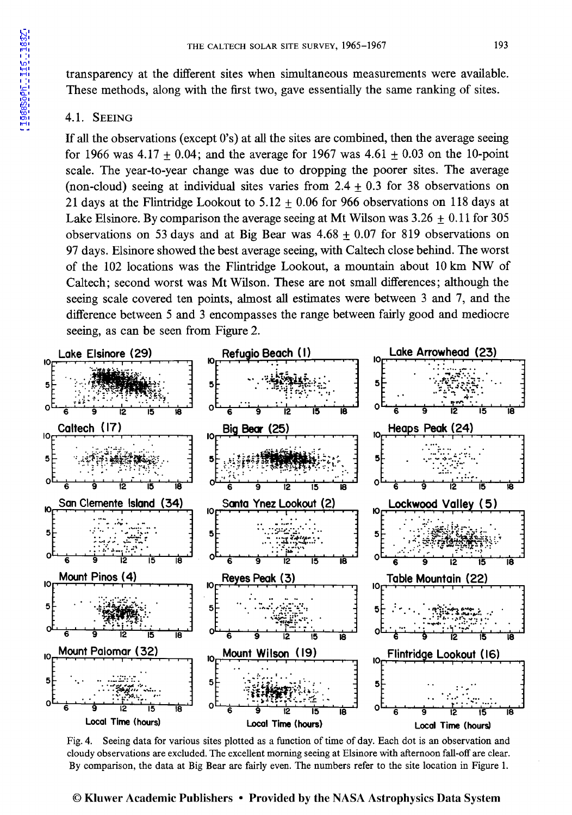transparency at the different sites when simultaneous measurements were available. These methods, along with the first two, gave essentially the same ranking of sites.

## 4.1. SEEING

If all the observations (except O's) at all the sites are combined, then the average seeing for 1966 was 4.17 + 0.04; and the average for 1967 was  $4.61 \pm 0.03$  on the 10-point scale. The year-to-year change was due to dropping the poorer sites. The average (non-cloud) seeing at individual sites varies from  $2.4 \pm 0.3$  for 38 observations on 21 days at the Flintridge Lookout to  $5.12 \pm 0.06$  for 966 observations on 118 days at Lake Elsinore. By comparison the average seeing at Mt Wilson was  $3.26 \pm 0.11$  for 305 observations on 53 days and at Big Bear was  $4.68 \pm 0.07$  for 819 observations on 97 days. Elsinore showed the best average seeing, with Caltech close behind. The worst of the 102 locations was the Flintridge Lookout, a mountain about 10 km NW of Caltech; second worst was Mt Wilson. These are not small differences; although the seeing scale covered ten points, almost all estimates were between 3 and 7, and the difference between 5 and 3 encompasses the range between fairly good and mediocre seeing, as can be seen from Figure 2.



Fig. 4. Seeing data for various sites plotted as a function of time of day. Each dot is an observation and cloudy observations are excluded. The excellent morning seeing at Elsinore with afternoon fall-off are clear. By comparison, the data at Big Bear are fairly even. The numbers refer to the site location in Figure 1.

© Kluwer Academic Publishers • Provided by the NASA Astrophysics Data System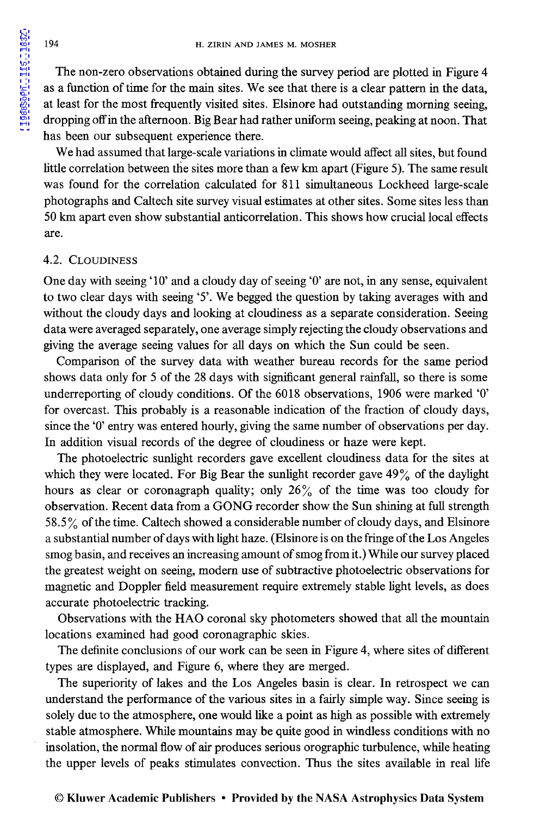[1988SoPh..115..183Z](http://adsabs.harvard.edu/abs/1988SoPh..115..183Z)

1988SoPh..115..183Z

The non-zero observations obtained during the survey period are plotted in Figure 4 as a function of time for the main sites. We see that there is a clear pattern in the data, at least for the most frequently visited sites. Elsinore had outstanding morning seeing, dropping off in the afternoon. Big Bear had rather uniform seeing, peaking at noon. That has been our subsequent experience there.

We had assumed that large-scale variations in climate would affect all sites, but found little correlation between the sites more than a few km apart (Figure 5). The same result was found for the correlation calculated for 811 simultaneous Lockheed large-scale photographs and Caltech site survey visual estimates at other sites. Some sites less than 50 km apart even show substantial anticorrelation. This shows how crucial local effects are.

### 4.2. CLOUDINESS

One day with seeing '10' and a cloudy day of seeing '0' are not, in any sense, equivalent to two clear days with seeing '5'. We begged the question by taking averages with and without the cloudy days and looking at cloudiness as a separate consideration. Seeing data were averaged separately, one average simply rejecting the cloudy observations and giving the average seeing values for all days on which the Sun could be seen.

Comparison of the survey data with weather bureau records for the same period shows data only for 5 of the 28 days with significant general rainfall, so there is some underreporting of cloudy conditions. Of the 6018 observations, 1906 were marked 'O' for overcast. This probably is a reasonable indication of the fraction of cloudy days, since the 'O' entry was entered hourly, giving the same number of observations per day. In addition visual records of the degree of cloudiness or haze were kept.

The photoelectric sunlight recorders gave excellent cloudiness data for the sites at which they were located. For Big Bear the sunlight recorder gave 49% of the daylight hours as clear or coronagraph quality; only  $26\%$  of the time was too cloudy for observation. Recent data from a GONG recorder show the Sun shining at full strength 58.5 % of the time. Caltech showed a considerable number of cloudy days, and Elsinore a substantial number of days with light haze. (Elsinore is on the fringe of the Los Angeles smog basin, and receives an increasing amount of smog from it.) While our survey placed the greatest weight on seeing, modern use of subtractive photoelectric observations for magnetic and Doppler field measurement require extremely stable light levels, as does accurate photoelectric tracking.

Observations with the HAO coronal sky photometers showed that all the mountain locations examined had good coronagraphic skies.

The definite conclusions of our work can be seen in Figure 4, where sites of different types are displayed, and Figure 6, where they are merged.

The superiority of lakes and the Los Angeles basin is clear. In retrospect we can understand the performance of the various sites in a fairly simple way. Since seeing is solely due to the atmosphere, one would like a point as high as possible with extremely stable atmosphere. While mountains may be quite good in windless conditions with no insolation, the normal flow of air produces serious orographic turbulence, while heating the upper levels of peaks stimulates convection. Thus the sites available in real life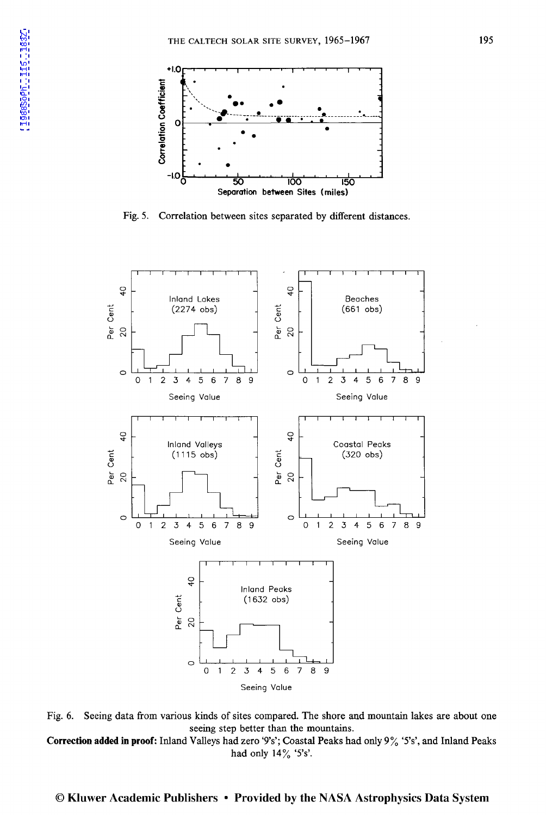![](_page_12_Figure_1.jpeg)

Fig. 5. Correlation between sites separated by different distances.

![](_page_12_Figure_3.jpeg)

Fig. 6. Seeing data from various kinds of sites compared. The shore and mountain lakes are about one seeing step better than the mountains.

Correction added in proof: Inland Valleys had zero '9's'; Coastal Peaks had only 9% '5's', and Inland Peaks had only  $14\%$  '5's'.

#### © Kluwer Academic Publishers • Provided by the NASA Astrophysics Data System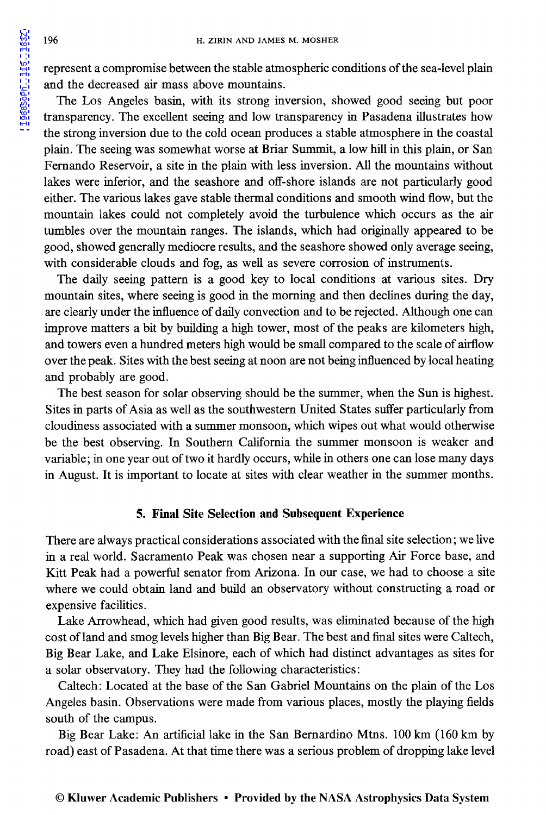represent a compromise between the stable atmospheric conditions of the sea-level plain and the decreased air mass above mountains.

The Los Angeles basin, with its strong inversion, showed good seeing but poor transparency. The excellent seeing and low transparency in Pasadena illustrates how the strong inversion due to the cold ocean produces a stable atmosphere in the coastal plain. The seeing was somewhat worse at Briar Summit, a low hill in this plain, or San Fernando Reservoir, a site in the plain with less inversion. All the mountains without lakes were inferior, and the seashore and off-shore islands are not particularly good either. The various lakes gave stable thermal conditions and smooth wind flow, but the mountain lakes could not completely avoid the turbulence which occurs as the air tumbles over the mountain ranges. The islands, which had originally appeared to be good, showed generally mediocre results, and the seashore showed only average seeing, with considerable clouds and fog, as well as severe corrosion of instruments.

The daily seeing pattern is a good key to local conditions at various sites. Dry mountain sites, where seeing is good in the morning and then declines during the day, are clearly under the influence of daily convection and to be rejected. Although one can improve matters a bit by building a high tower, most of the peaks are kilometers high, and towers even a hundred meters high would be small compared to the scale of airflow over the peak. Sites with the best seeing at noon are not being influenced by local heating and probably are good.

The best season for solar observing should be the summer, when the Sun is highest. Sites in parts of Asia as well as the southwestern United States suffer particularly from cloudiness associated with a summer monsoon, which wipes out what would otherwise be the best observing. In Southern California the summer monsoon is weaker and variable; in one year out of two it hardly occurs, while in others one can lose many days in August. It is important to locate at sites with clear weather in the summer months.

### 5. Final Site Selection and Subsequent Experience

There are always practical considerations associated with the final site selection; we live in a real world. Sacramento Peak was chosen near a supporting Air Force base, and Kitt Peak had a powerful senator from Arizona. In our case, we had to choose a site where we could obtain land and build an observatory without constructing a road or expensive facilities.

Lake Arrowhead, which had given good results, was eliminated because of the high cost of land and smog levels higher than Big Bear. The best and final sites were Caltech, Big Bear Lake, and Lake Elsinore, each of which had distinct advantages as sites for a solar observatory. They had the following characteristics:

Caltech: Located at the base of the San Gabriel Mountains on the plain of the Los Angeles basin. Observations were made from various places, mostly the playing fields south of the campus.

Big Bear Lake: An artificial lake in the San Bernardino Mtns. 100 km (160 km by road) east of Pasadena. At that time there was a serious problem of dropping lake level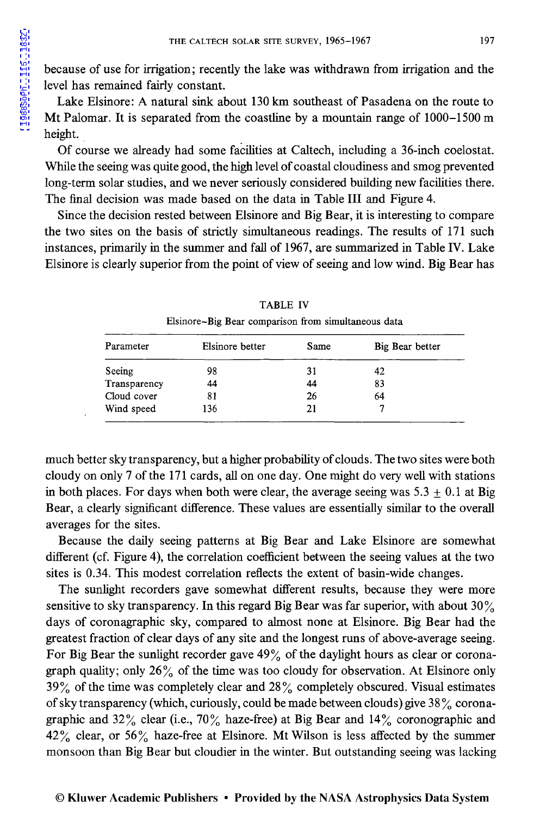because of use for irrigation; recently the lake was withdrawn from irrigation and the level has remained fairly constant.

Lake Elsinore: A natural sink about 130 km southeast of Pasadena on the route to Mt Palomar. It is separated from the coastline by a mountain range of 1000-1500 m height. \_

Of course we already had some facilities at Caltech, including a 36-inch coelostat. While the seeing was quite good, the high level of coastal cloudiness and smog prevented long-term solar studies, and we never seriously considered building new facilities there. The final decision was made based on the data in Table III and Figure 4.

Since the decision rested between Elsinore and Big Bear, it is interesting to compare the two sites on the basis of strictly simultaneous readings. The results of 171 such instances, primarily in the summer and fall of 1967, are summarized in Table IV. Lake Elsinore is clearly superior from the point of view of seeing and low wind. Big Bear has

| Parameter    | Elsinore better | Same | Big Bear better |
|--------------|-----------------|------|-----------------|
| Seeing       | 98              | 31   | 42              |
| Transparency | 44              | 44   | 83              |
| Cloud cover  | 81              | 26   | 64              |
| Wind speed   | 136             | 21   |                 |

TABLE IV Elsinore-Big Bear comparison from simultaneous data

much better sky transparency, but a higher probability of clouds. The two sites were both cloudy on only 7 of the 171 cards, all on one day. One might do very well with stations in both places. For days when both were clear, the average seeing was  $5.3 \pm 0.1$  at Big Bear, a clearly significant difference. These values are essentially similar to the overall averages for the sites.

Because the daily seeing patterns at Big Bear and Lake Elsinore are somewhat different (cf. Figure 4), the correlation coefficient between the seeing values at the two sites is 0.34. This modest correlation reflects the extent of basin-wide changes.

The sunlight recorders gave somewhat different results, because they were more sensitive to sky transparency. In this regard Big Bear was far superior, with about  $30\%$ days of coronagraphic sky, compared to almost none at Elsinore. Big Bear had the greatest fraction of clear days of any site and the longest runs of above-average seeing. For Big Bear the sunlight recorder gave 49% of the daylight hours as clear or coronagraph quality; only  $26\%$  of the time was too cloudy for observation. At Elsinore only 39% of the time was completely clear and 28% completely obscured. Visual estimates of sky transparency (which, curiously, could be made between clouds) give 38% coronagraphic and  $32\%$  clear (i.e.,  $70\%$  haze-free) at Big Bear and  $14\%$  coronographic and  $42\%$  clear, or 56% haze-free at Elsinore. Mt Wilson is less affected by the summer monsoon than Big Bear but cloudier in the winter. But outstanding seeing was lacking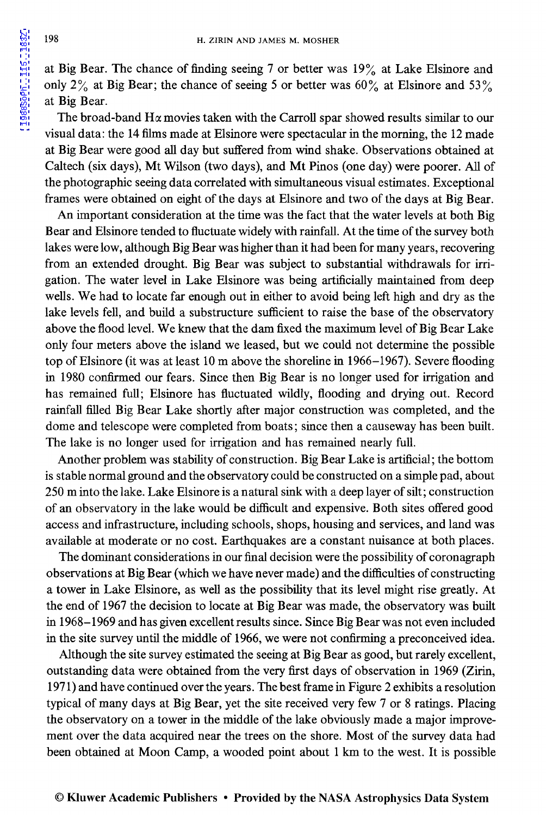at Big Bear. The chance of finding seeing 7 or better was 19% at Lake Elsinore and only  $2\%$  at Big Bear; the chance of seeing 5 or better was  $60\%$  at Elsinore and  $53\%$ at Big Bear.

The broad-band  $H\alpha$  movies taken with the Carroll spar showed results similar to our visual data: the 14 films made at Elsinore were spectacular in the morning, the 12 made at Big Bear were good all day but suffered from wind shake. Observations obtained at Caltech (six days), Mt Wilson (two days), and Mt Pinos (one day) were poorer. All of the photographic seeing data correlated with simultaneous visual estimates. Exceptional frames were obtained on eight of the days at Elsinore and two of the days at Big Bear.

An important consideration at the time was the fact that the water levels at both Big Bear and Elsinore tended to fluctuate widely with rainfall. At the time of the survey both lakes were low, although Big Bear was higher than it had been for many years, recovering from an extended drought. Big Bear was subject to substantial withdrawals for irrigation. The water level in Lake Elsinore was being artificially maintained from deep wells. We had to locate far enough out in either to avoid being left high and dry as the lake levels fell, and build a substructure sufficient to raise the base of the observatory above the flood level. We knew that the dam fixed the maximum level of Big Bear Lake only four meters above the island we leased, but we could not determine the possible top of Elsinore (it was at least 10 m above the shoreline in 1966-1967). Severe flooding in 1980 confirmed our fears. Since then Big Bear is no longer used for irrigation and has remained full; Elsinore has fluctuated wildly, flooding and drying out. Record rainfall filled Big Bear Lake shortly after major construction was completed, and the dome and telescope were completed from boats; since then a causeway has been built. The lake is no longer used for irrigation and has remained nearly full.

Another problem was stability of construction. Big Bear Lake is artificial; the bottom is stable normal ground and the observatory could be constructed on a simple pad, about 250 m into the lake. Lake Elsinore is a natural sink with a deep layer of silt; construction of an observatory in the lake would be difficult and expensive. Both sites offered good access and infrastructure, including schools, shops, housing and services, and land was available at moderate or no cost. Earthquakes are a constant nuisance at both places.

The dominant considerations in our final decision were the possibility of coronagraph observations at Big Bear (which we have never made) and the difficulties of constructing a tower in Lake Elsinore, as well as the possibility that its level might rise greatly. At the end of 1967 the decision to locate at Big Bear was made, the observatory was built in 1968-1969 and has given excellent results since. Since Big Bear was not even included in the site survey until the middle of 1966, we were not confirming a preconceived idea.

Although the site survey estimated the seeing at Big Bear as good, but rarely excellent, outstanding data were obtained from the very first days of observation in 1969 (Zirin, 1971) and have continued over the years. The best frame in Figure 2 exhibits a resolution typical of many days at Big Bear, yet the site received very few 7 or 8 ratings. Placing the observatory on a tower in the middle of the lake obviously made a major improvement over the data acquired near the trees on the shore. Most of the survey data had been obtained at Moon Camp, a wooded point about 1 km to the west. It is possible

[1988SoPh..115..183Z](http://adsabs.harvard.edu/abs/1988SoPh..115..183Z)

1988SoPh..115..183Z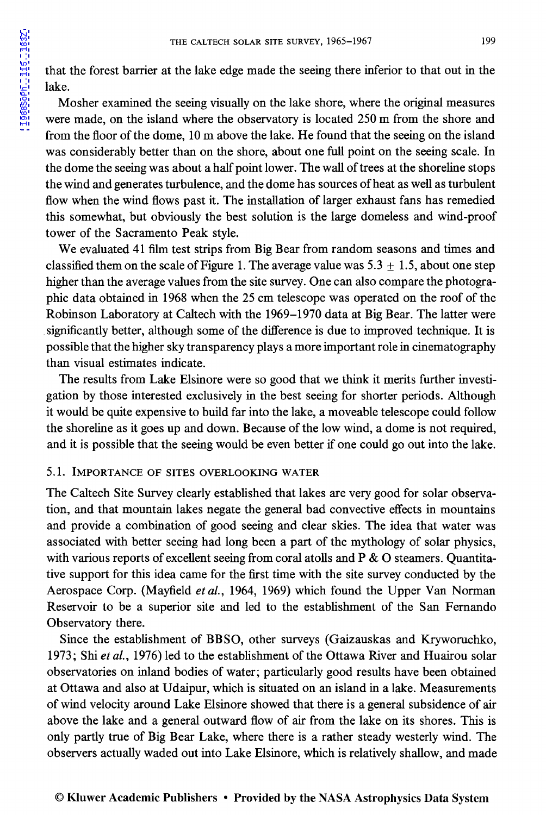that the forest barrier at the lake edge made the seeing there inferior to that out in the lake.

Mosher examined the seeing visually on the lake shore, where the original measures were made, on the island where the observatory is located 250 m from the shore and from the floor of the dome, 10 m above the lake. He found that the seeing on the island was considerably better than on the shore, about one full point on the seeing scale. In the dome the seeing was about a half point lower. The wall of trees at the shoreline stops the wind and generates turbulence, and the dome has sources of heat as well as turbulent flow when the wind flows past it. The installation of larger exhaust fans has remedied this somewhat, but obviously the best solution is the large domeless and wind-proof tower of the Sacramento Peak style.

We evaluated 41 film test strips from Big Bear from random seasons and times and classified them on the scale of Figure 1. The average value was  $5.3 \pm 1.5$ , about one step higher than the average values from the site survey. One can also compare the photographic data obtained in 1968 when the 25 cm telescope was operated on the roof of the Robinson Laboratory at Caltech with the 1969-1970 data at Big Bear. The latter were \_significantly better, although some of the difference is due to improved technique. It is possible that the higher sky transparency plays a more important role in cinematography than visual estimates indicate.

The results from Lake Elsinore were so good that we think it merits further investigation by those interested exclusively in the best seeing for shorter periods. Although it would be quite expensive to build far into the lake, a moveable telescope could follow the shoreline as it goes up and down. Because of the low wind, a dome is not required, and it is possible that the seeing would be even better if one could go out into the lake.

### 5.1. IMPORTANCE OF SITES OVERLOOKING WATER

The Caltech Site Survey clearly established that lakes are very good for solar observation, and that mountain lakes negate the general bad convective effects in mountains and provide a combination of good seeing and clear skies. The idea that water was associated with better seeing had long been a part of the mythology of solar physics, with various reports of excellent seeing from coral atolls and P & O steamers. Quantitative support for this idea came for the first time with the site survey conducted by the Aerospace Corp. (Mayfield *et al.,* 1964, 1969) which found the Upper Van Norman Reservoir to be a superior site and led to the establishment of the San Fernando Observatory there.

Since the establishment of BBSO, other surveys (Gaizauskas and Kryworuchko, 1973; Shi *et al.,* 1976) led to the establishment of the Ottawa River and Huairou solar observatories on inland bodies of water; particularly good results have been obtained at Ottawa and also at Udaipur, which is situated on an island in a lake. Measurements of wind velocity around Lake Elsinore showed that there is a general subsidence of air above the lake and a general outward flow of air from the lake on its shores. This is only partly true of Big Bear Lake, where there is a rather steady westerly wind. The observers actually waded out into Lake Elsinore, which is relatively shallow, and made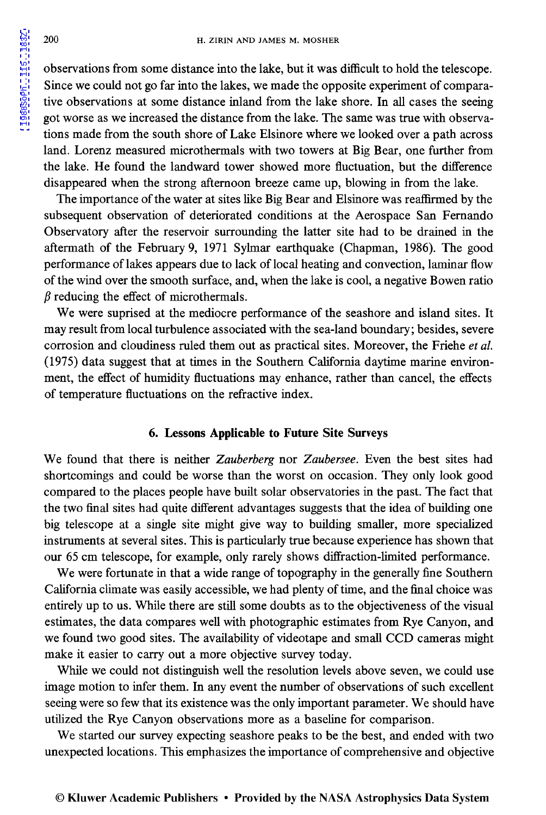observations from some distance into the lake, but it was difficult to hold the telescope. Since we could not go far into the lakes, we made the opposite experiment of comparative observations at some distance inland from the lake shore. In all cases the seeing got worse as we increased the distance from the lake. The same was true with observations made from the south shore of Lake Elsinore where we looked over a path across land. Lorenz measured microthermals with two towers at Big Bear, one further from the lake. He found the landward tower showed more fluctuation, but the difference disappeared when the strong afternoon breeze came up, blowing in from the lake.

The importance of the water at sites like Big Bear and Elsinore was reaffirmed by the subsequent observation of deteriorated conditions at the Aerospace San Fernando Observatory after the reservoir surrounding the latter site had to be drained in the aftermath of the February 9, 1971 Sylmar earthquake (Chapman, 1986). The good performance of lakes appears due to lack of local heating and convection, laminar flow of the wind over the smooth surface, and, when the lake is cool, a negative Bowen ratio  $\beta$  reducing the effect of microthermals.

We were suprised at the mediocre performance of the seashore and island sites. It may result from local turbulence associated with the sea-land boundary; besides, severe corrosion and cloudiness ruled them out as practical sites. Moreover, the Friehe *et al.*  (1975) data suggest that at times in the Southern California daytime marine environment, the effect of humidity fluctuations may enhance, rather than cancel, the effects of temperature fluctuations on the refractive index.

#### 6. Lessons Applicable to Future Site Surveys

We found that there is neither *Zauberberg* nor *Zaubersee.* Even the best sites had shortcomings and could be worse than the worst on occasion. They only look good compared to the places people have built solar observatories in the past. The fact that the two final sites had quite different advantages suggests that the idea of building one big telescope at a single site might give way to building smaller, more specialized instruments at several sites. This is particularly true because experience has shown that our 65 cm telescope, for example, only rarely shows diffraction-limited performance.

We were fortunate in that a wide range of topography in the generally fine Southern California climate was easily accessible, we had plenty of time, and the final choice was entirely up to us. While there are still some doubts as to the objectiveness of the visual estimates, the data compares well with photographic estimates from Rye Canyon, and we found two good sites. The availability of videotape and small CCD cameras might make it easier to carry out a more objective survey today.

While we could not distinguish well the resolution levels above seven, we could use image motion to infer them. In any event the number of observations of such excellent seeing were so few that its existence was the only important parameter. We should have utilized the Rye Canyon observations more as a baseline for comparison.

We started our survey expecting seashore peaks to be the best, and ended with two unexpected locations. This emphasizes the importance of comprehensive and objective